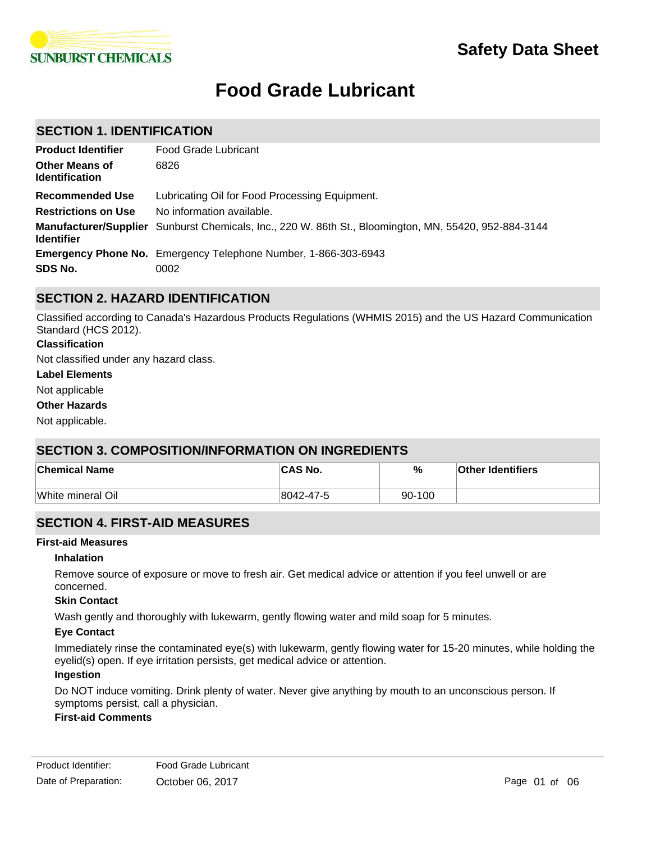

# **Food Grade Lubricant**

#### **SECTION 1. IDENTIFICATION**

| <b>Product Identifier</b>                      | Food Grade Lubricant                                                                                  |
|------------------------------------------------|-------------------------------------------------------------------------------------------------------|
| <b>Other Means of</b><br><b>Identification</b> | 6826                                                                                                  |
| Recommended Use                                | Lubricating Oil for Food Processing Equipment.                                                        |
| <b>Restrictions on Use</b>                     | No information available.                                                                             |
| <b>Identifier</b>                              | Manufacturer/Supplier Sunburst Chemicals, Inc., 220 W. 86th St., Bloomington, MN, 55420, 952-884-3144 |
|                                                | <b>Emergency Phone No.</b> Emergency Telephone Number, 1-866-303-6943                                 |
| SDS No.                                        | 0002                                                                                                  |

#### **SECTION 2. HAZARD IDENTIFICATION**

Classified according to Canada's Hazardous Products Regulations (WHMIS 2015) and the US Hazard Communication Standard (HCS 2012).

#### **Classification**

Not classified under any hazard class.

#### **Label Elements**

Not applicable

#### **Other Hazards**

Not applicable.

#### **SECTION 3. COMPOSITION/INFORMATION ON INGREDIENTS**

| <b>Chemical Name</b> | <b>CAS No.</b> | %      | <b>Other Identifiers</b> |
|----------------------|----------------|--------|--------------------------|
| White mineral Oil    | 8042-47-5      | 90-100 |                          |

## **SECTION 4. FIRST-AID MEASURES**

#### **First-aid Measures**

#### **Inhalation**

Remove source of exposure or move to fresh air. Get medical advice or attention if you feel unwell or are concerned.

#### **Skin Contact**

Wash gently and thoroughly with lukewarm, gently flowing water and mild soap for 5 minutes.

#### **Eye Contact**

Immediately rinse the contaminated eye(s) with lukewarm, gently flowing water for 15-20 minutes, while holding the eyelid(s) open. If eye irritation persists, get medical advice or attention.

#### **Ingestion**

Do NOT induce vomiting. Drink plenty of water. Never give anything by mouth to an unconscious person. If symptoms persist, call a physician.

#### **First-aid Comments**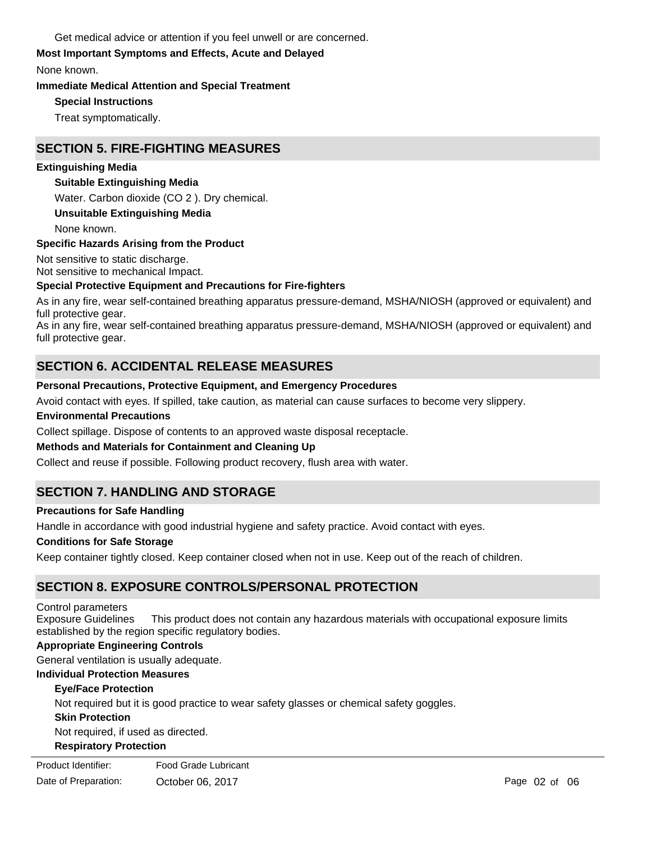Get medical advice or attention if you feel unwell or are concerned.

### **Most Important Symptoms and Effects, Acute and Delayed**

None known.

### **Immediate Medical Attention and Special Treatment**

**Special Instructions**

Treat symptomatically.

## **SECTION 5. FIRE-FIGHTING MEASURES**

### **Extinguishing Media**

### **Suitable Extinguishing Media**

Water. Carbon dioxide (CO 2 ). Dry chemical.

### **Unsuitable Extinguishing Media**

None known.

## **Specific Hazards Arising from the Product**

Not sensitive to static discharge. Not sensitive to mechanical Impact.

## **Special Protective Equipment and Precautions for Fire-fighters**

As in any fire, wear self-contained breathing apparatus pressure-demand, MSHA/NIOSH (approved or equivalent) and full protective gear.

As in any fire, wear self-contained breathing apparatus pressure-demand, MSHA/NIOSH (approved or equivalent) and full protective gear.

## **SECTION 6. ACCIDENTAL RELEASE MEASURES**

### **Personal Precautions, Protective Equipment, and Emergency Procedures**

Avoid contact with eyes. If spilled, take caution, as material can cause surfaces to become very slippery.

### **Environmental Precautions**

Collect spillage. Dispose of contents to an approved waste disposal receptacle.

## **Methods and Materials for Containment and Cleaning Up**

Collect and reuse if possible. Following product recovery, flush area with water.

## **SECTION 7. HANDLING AND STORAGE**

## **Precautions for Safe Handling**

Handle in accordance with good industrial hygiene and safety practice. Avoid contact with eyes.

## **Conditions for Safe Storage**

Keep container tightly closed. Keep container closed when not in use. Keep out of the reach of children.

## **SECTION 8. EXPOSURE CONTROLS/PERSONAL PROTECTION**

#### Control parameters

Exposure Guidelines This product does not contain any hazardous materials with occupational exposure limits established by the region specific regulatory bodies.

## **Appropriate Engineering Controls**

General ventilation is usually adequate.

## **Individual Protection Measures**

## **Eye/Face Protection**

Not required but it is good practice to wear safety glasses or chemical safety goggles.

## **Skin Protection**

Not required, if used as directed.

#### **Respiratory Protection**

Product Identifier: Food Grade Lubricant<br>
Food as directed. If experience as directed. It is experienced or intervention in the experienced or interven NIOSH/MSHA approved respiratory protection should be worn. Date of Preparation: Cotober 06, 2017 Content of Content of Preparation: Page 02 of 06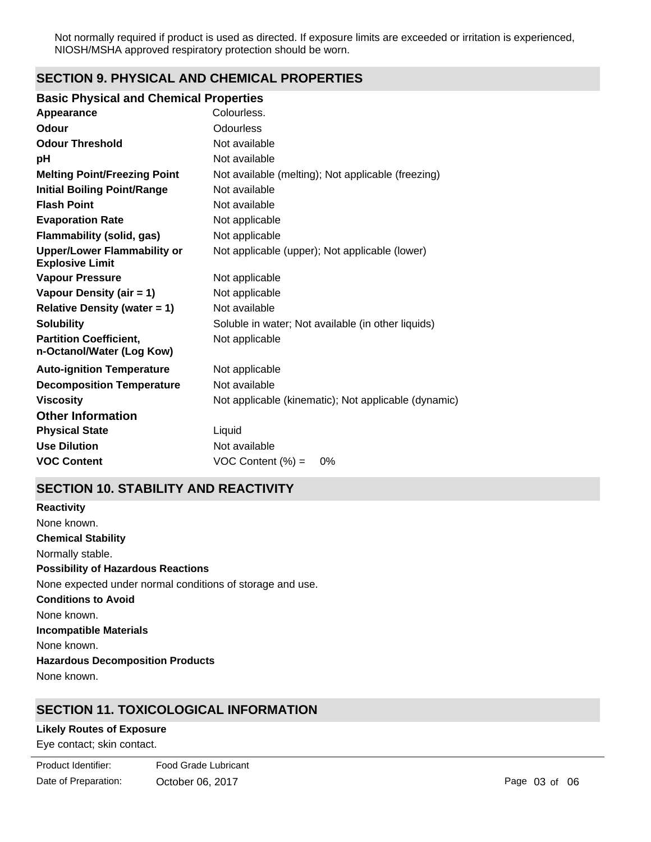Not normally required if product is used as directed. If exposure limits are exceeded or irritation is experienced, NIOSH/MSHA approved respiratory protection should be worn.

## **SECTION 9. PHYSICAL AND CHEMICAL PROPERTIES**

| <b>Basic Physical and Chemical Properties</b> |  |
|-----------------------------------------------|--|
|-----------------------------------------------|--|

| Appearance                                                   | Colourless.                                          |
|--------------------------------------------------------------|------------------------------------------------------|
| Odour                                                        | Odourless                                            |
| <b>Odour Threshold</b>                                       | Not available                                        |
| pH                                                           | Not available                                        |
| <b>Melting Point/Freezing Point</b>                          | Not available (melting); Not applicable (freezing)   |
| <b>Initial Boiling Point/Range</b>                           | Not available                                        |
| <b>Flash Point</b>                                           | Not available                                        |
| <b>Evaporation Rate</b>                                      | Not applicable                                       |
| <b>Flammability (solid, gas)</b>                             | Not applicable                                       |
| <b>Upper/Lower Flammability or</b><br><b>Explosive Limit</b> | Not applicable (upper); Not applicable (lower)       |
| <b>Vapour Pressure</b>                                       | Not applicable                                       |
| Vapour Density (air = 1)                                     | Not applicable                                       |
| <b>Relative Density (water = 1)</b>                          | Not available                                        |
| <b>Solubility</b>                                            | Soluble in water; Not available (in other liquids)   |
| <b>Partition Coefficient,</b><br>n-Octanol/Water (Log Kow)   | Not applicable                                       |
| <b>Auto-ignition Temperature</b>                             | Not applicable                                       |
| <b>Decomposition Temperature</b>                             | Not available                                        |
| <b>Viscosity</b>                                             | Not applicable (kinematic); Not applicable (dynamic) |
| <b>Other Information</b>                                     |                                                      |
| <b>Physical State</b>                                        | Liquid                                               |
| <b>Use Dilution</b>                                          | Not available                                        |
| <b>VOC Content</b>                                           | $VOC$ Content $(\%) =$<br>0%                         |

## **SECTION 10. STABILITY AND REACTIVITY**

**Chemical Stability** Normally stable. **Conditions to Avoid** None known. **Incompatible Materials** None known. **Hazardous Decomposition Products** None known. **Possibility of Hazardous Reactions** None expected under normal conditions of storage and use. **Reactivity** None known.

## **SECTION 11. TOXICOLOGICAL INFORMATION**

#### **Likely Routes of Exposure**

Eye contact; skin contact.

**Product Identifier:** Date of Preparation: Cotober 06, 2017 Content of Content of Preparation: Page 03 of 06 **Food Grade Lubricant**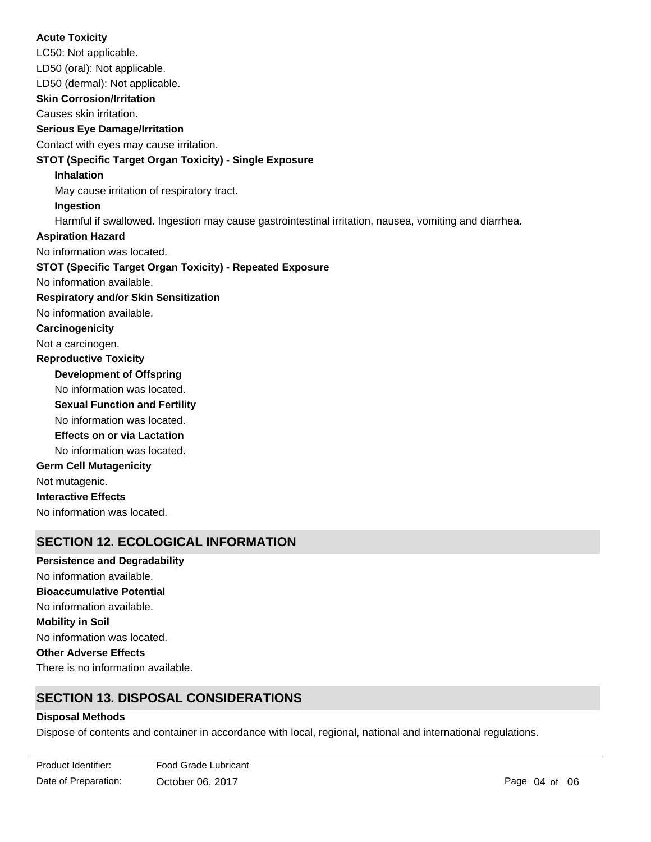LC50: Not applicable. LD50 (oral): Not applicable. **Skin Corrosion/Irritation** Causes skin irritation. **Serious Eye Damage/Irritation** Contact with eyes may cause irritation. **STOT (Specific Target Organ Toxicity) - Single Exposure Inhalation** May cause irritation of respiratory tract. **Ingestion** Harmful if swallowed. Ingestion may cause gastrointestinal irritation, nausea, vomiting and diarrhea. No information available. **STOT (Specific Target Organ Toxicity) - Repeated Exposure Respiratory and/or Skin Sensitization** No information available. **Carcinogenicity** Not a carcinogen. **Development of Offspring** No information was located. **Reproductive Toxicity** No information was located. **Germ Cell Mutagenicity** Not mutagenic. **Interactive Effects** No information was located. LD50 (dermal): Not applicable. **Acute Toxicity Sexual Function and Fertility Effects on or via Lactation** No information was located. No information was located. **Aspiration Hazard**

## **SECTION 12. ECOLOGICAL INFORMATION**

No information available. No information was located. There is no information available. No information available. **Persistence and Degradability Mobility in Soil Other Adverse Effects Bioaccumulative Potential**

## **SECTION 13. DISPOSAL CONSIDERATIONS**

## **Disposal Methods**

Dispose of contents and container in accordance with local, regional, national and international regulations.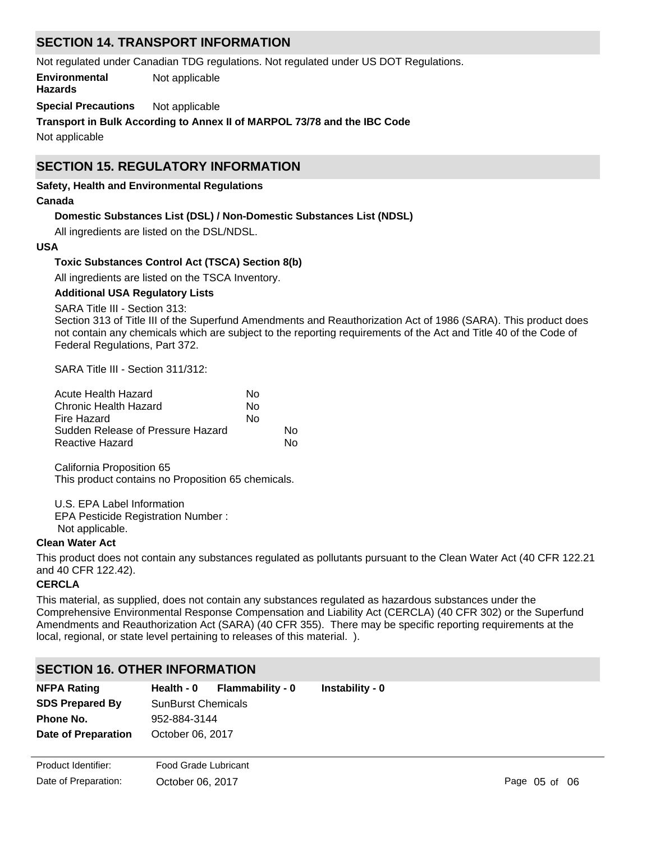## **SECTION 14. TRANSPORT INFORMATION**

Not regulated under Canadian TDG regulations. Not regulated under US DOT Regulations.

**Environmental** Not applicable

#### **Hazards**

**Special Precautions** Not applicable

**Transport in Bulk According to Annex II of MARPOL 73/78 and the IBC Code**

Not applicable

### **SECTION 15. REGULATORY INFORMATION**

#### **Safety, Health and Environmental Regulations**

#### **Canada**

#### **Domestic Substances List (DSL) / Non-Domestic Substances List (NDSL)**

All ingredients are listed on the DSL/NDSL.

#### **USA**

#### **Toxic Substances Control Act (TSCA) Section 8(b)**

All ingredients are listed on the TSCA Inventory.

#### **Additional USA Regulatory Lists**

SARA Title III - Section 313:

Section 313 of Title III of the Superfund Amendments and Reauthorization Act of 1986 (SARA). This product does not contain any chemicals which are subject to the reporting requirements of the Act and Title 40 of the Code of Federal Regulations, Part 372.

SARA Title III - Section 311/312:

| Acute Health Hazard               | No |    |
|-----------------------------------|----|----|
| Chronic Health Hazard             | N٥ |    |
| Fire Hazard                       | N٥ |    |
| Sudden Release of Pressure Hazard |    | N٥ |
| Reactive Hazard                   |    | N٥ |

California Proposition 65 This product contains no Proposition 65 chemicals.

U.S. EPA Label Information

EPA Pesticide Registration Number :

Not applicable.

#### **Clean Water Act**

This product does not contain any substances regulated as pollutants pursuant to the Clean Water Act (40 CFR 122.21 and 40 CFR 122.42).

#### **CERCLA**

This material, as supplied, does not contain any substances regulated as hazardous substances under the Comprehensive Environmental Response Compensation and Liability Act (CERCLA) (40 CFR 302) or the Superfund Amendments and Reauthorization Act (SARA) (40 CFR 355). There may be specific reporting requirements at the local, regional, or state level pertaining to releases of this material. ).

## **SECTION 16. OTHER INFORMATION**

| <b>NFPA Rating</b>     | Health - 0                | Flammability - 0 | Instability - 0 |
|------------------------|---------------------------|------------------|-----------------|
| <b>SDS Prepared By</b> | <b>SunBurst Chemicals</b> |                  |                 |
| Phone No.              | 952-884-3144              |                  |                 |
| Date of Preparation    | October 06, 2017          |                  |                 |

Date of Preparation: Cotober 06, 2017 Content of Content of Preparation: Page 05 of 06 Product Identifier: Food Grade Lubricant